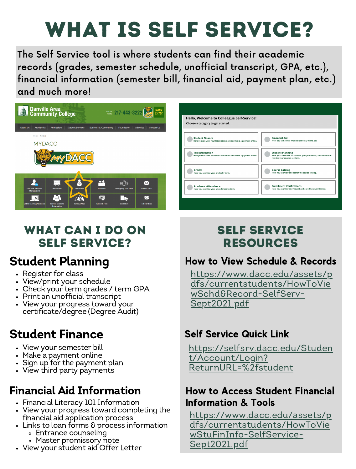## What is Self Service?

The Self Service tool is where students can find their academic records (grades, semester schedule, unofficial transcript, GPA, etc.), financial information (semester bill, financial aid, payment plan, etc.) and much more!



#### Hello Welcome to Colleague Self-Service Choose a category to get started. **Financial Aid<br>Here you can access financial aid data, forms,** Student Finance<br>Here you can view your latest statement and n Tax Information<br>Here you can view your latest Student Planning<br>Here you can search for courses, plan your terms, and<br>register your courses sections. Grades<br>Here you can view your grades by term **Course Catalog**<br>Here you can view and search the course catalog. Academic Attendance<br>Here you can view your attendances by term. Enrollment Verifications<br>Here you can view and request and enrollment verification

### WHAT CAN I DO ON Self Service?

### Student Planning

- Register for class
- View/print your schedule
- Check your term grades / term GPA
- Print an unofficial transcript
- View your progress toward your certificate/degree (Degree Audit)

### Student Finance

- View your semester bill
- Make a payment online
- Sign up for the payment plan
- View third party payments

## Financial Aid Information

- Financial Literacy 101 Information
- View your progress toward completing the financial aid application process
- Links to loan forms & process information Entrance counseling
	- Master promissory note
- View your student aid Offer Letter

### Self Service Resources

### How to View Schedule & Records

[https://www.dacc.edu/assets/p](https://www.dacc.edu/assets/pdfs/currentstudents/HowToViewSchd&Record-SelfServ-Sept2021.pdf) dfs/currentstudents/HowToVie wSchd&Record-SelfServ-Sept2021.pdf

### Self Service Quick Link

[https://selfsrv.dacc.edu/Studen](https://selfsrv.dacc.edu/Student/Account/Login?ReturnURL=%2fstudent) t/Account/Login? ReturnURL=%2fstudent

### How to Access Student Financial Information & Tools

[https://www.dacc.edu/assets/p](https://www.dacc.edu/assets/pdfs/currentstudents/HowToViewStuFinInfo-SelfService-Sept2021.pdf) dfs/currentstudents/HowToVie wStuFinInfo-SelfService-Sept2021.pdf